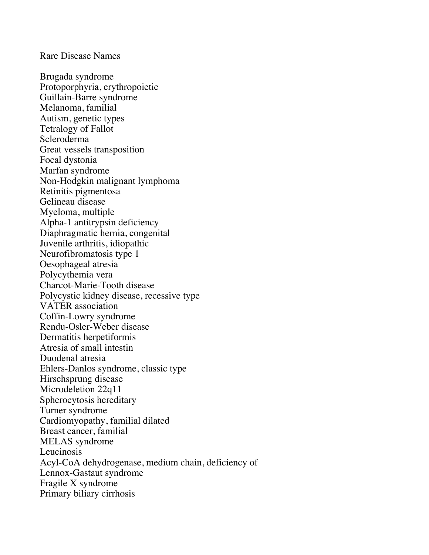## Rare Disease Names

Brugada syndrome Protoporphyria, erythropoietic Guillain-Barre syndrome Melanoma, familial Autism, genetic types Tetralogy of Fallot Scleroderma Great vessels transposition Focal dystonia Marfan syndrome Non-Hodgkin malignant lymphoma Retinitis pigmentosa Gelineau disease Myeloma, multiple Alpha-1 antitrypsin deficiency Diaphragmatic hernia, congenital Juvenile arthritis, idiopathic Neurofibromatosis type 1 Oesophageal atresia Polycythemia vera Charcot-Marie-Tooth disease Polycystic kidney disease, recessive type VATER association Coffin-Lowry syndrome Rendu-Osler-Weber disease Dermatitis herpetiformis Atresia of small intestin Duodenal atresia Ehlers-Danlos syndrome, classic type Hirschsprung disease Microdeletion 22q11 Spherocytosis hereditary Turner syndrome Cardiomyopathy, familial dilated Breast cancer, familial MELAS syndrome Leucinosis Acyl-CoA dehydrogenase, medium chain, deficiency of Lennox-Gastaut syndrome Fragile X syndrome Primary biliary cirrhosis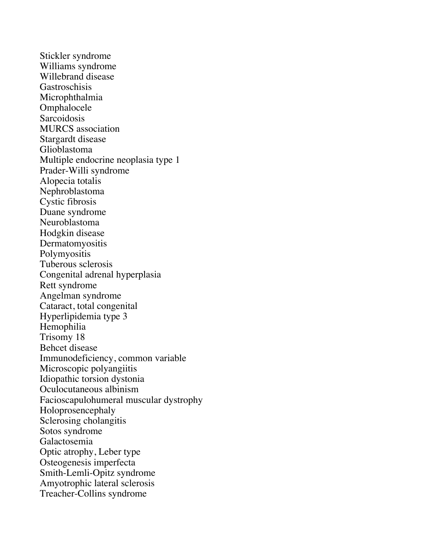Stickler syndrome Williams syndrome Willebrand disease Gastroschisis Microphthalmia Omphalocele Sarcoidosis MURCS association Stargardt disease Glioblastoma Multiple endocrine neoplasia type 1 Prader-Willi syndrome Alopecia totalis Nephroblastoma Cystic fibrosis Duane syndrome Neuroblastoma Hodgkin disease Dermatomyositis Polymyositis Tuberous sclerosis Congenital adrenal hyperplasia Rett syndrome Angelman syndrome Cataract, total congenital Hyperlipidemia type 3 Hemophilia Trisomy 18 Behcet disease Immunodeficiency, common variable Microscopic polyangiitis Idiopathic torsion dystonia Oculocutaneous albinism Facioscapulohumeral muscular dystrophy Holoprosencephaly Sclerosing cholangitis Sotos syndrome Galactosemia Optic atrophy, Leber type Osteogenesis imperfecta Smith-Lemli-Opitz syndrome Amyotrophic lateral sclerosis Treacher-Collins syndrome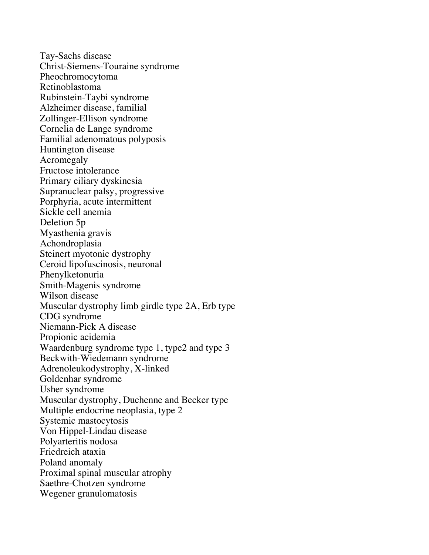Tay-Sachs disease Christ-Siemens-Touraine syndrome Pheochromocytoma Retinoblastoma Rubinstein-Taybi syndrome Alzheimer disease, familial Zollinger-Ellison syndrome Cornelia de Lange syndrome Familial adenomatous polyposis Huntington disease Acromegaly Fructose intolerance Primary ciliary dyskinesia Supranuclear palsy, progressive Porphyria, acute intermittent Sickle cell anemia Deletion 5p Myasthenia gravis Achondroplasia Steinert myotonic dystrophy Ceroid lipofuscinosis, neuronal Phenylketonuria Smith-Magenis syndrome Wilson disease Muscular dystrophy limb girdle type 2A, Erb type CDG syndrome Niemann-Pick A disease Propionic acidemia Waardenburg syndrome type 1, type2 and type 3 Beckwith-Wiedemann syndrome Adrenoleukodystrophy, X-linked Goldenhar syndrome Usher syndrome Muscular dystrophy, Duchenne and Becker type Multiple endocrine neoplasia, type 2 Systemic mastocytosis Von Hippel-Lindau disease Polyarteritis nodosa Friedreich ataxia Poland anomaly Proximal spinal muscular atrophy Saethre-Chotzen syndrome Wegener granulomatosis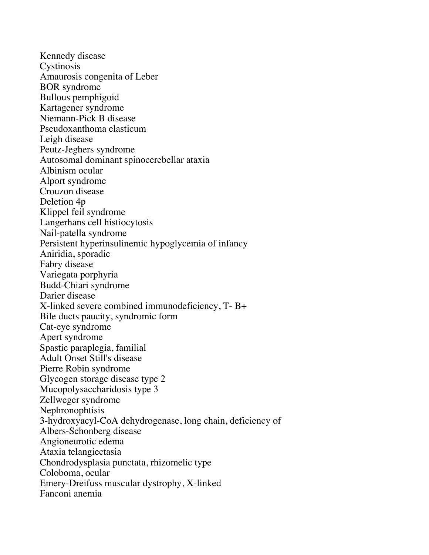Kennedy disease Cystinosis Amaurosis congenita of Leber BOR syndrome Bullous pemphigoid Kartagener syndrome Niemann-Pick B disease Pseudoxanthoma elasticum Leigh disease Peutz-Jeghers syndrome Autosomal dominant spinocerebellar ataxia Albinism ocular Alport syndrome Crouzon disease Deletion 4p Klippel feil syndrome Langerhans cell histiocytosis Nail-patella syndrome Persistent hyperinsulinemic hypoglycemia of infancy Aniridia, sporadic Fabry disease Variegata porphyria Budd-Chiari syndrome Darier disease X-linked severe combined immunodeficiency, T- B+ Bile ducts paucity, syndromic form Cat-eye syndrome Apert syndrome Spastic paraplegia, familial Adult Onset Still's disease Pierre Robin syndrome Glycogen storage disease type 2 Mucopolysaccharidosis type 3 Zellweger syndrome Nephronophtisis 3-hydroxyacyl-CoA dehydrogenase, long chain, deficiency of Albers-Schonberg disease Angioneurotic edema Ataxia telangiectasia Chondrodysplasia punctata, rhizomelic type Coloboma, ocular Emery-Dreifuss muscular dystrophy, X-linked Fanconi anemia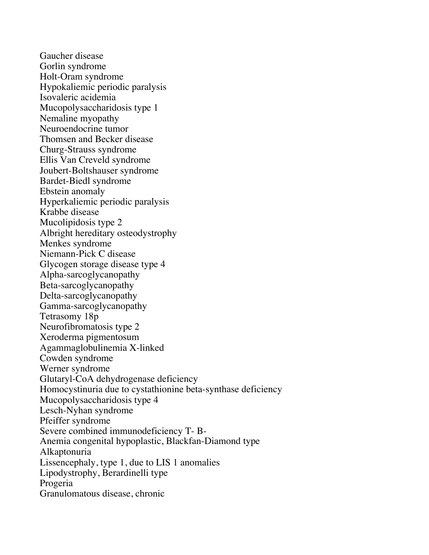Gaucher disease Gorlin syndrome Holt-Oram syndrome Hypokaliemic periodic paralysis Isovaleric acidemia Mucopolysaccharidosis type 1 Nemaline myopathy Neuroendocrine tumor Thomsen and Becker disease Churg-Strauss syndrome Ellis Van Creveld syndrome Joubert-Boltshauser syndrome Bardet-Biedl syndrome Ebstein anomaly Hyperkaliemic periodic paralysis Krabbe disease Mucolipidosis type 2 Albright hereditary osteodystrophy Menkes syndrome Niemann-Pick C disease Glycogen storage disease type 4 Alpha-sarcoglycanopathy Beta-sarcoglycanopathy Delta-sarcoglycanopathy Gamma-sarcoglycanopathy Tetrasomy 18p Neurofibromatosis type 2 Xeroderma pigmentosum Agammaglobulinemia X-linked Cowden syndrome Werner syndrome Glutaryl-CoA dehydrogenase deficiency Homocystinuria due to cystathionine beta-synthase deficiency Mucopolysaccharidosis type 4 Lesch-Nyhan syndrome Pfeiffer syndrome Severe combined immunodeficiency T- B-Anemia congenital hypoplastic, Blackfan-Diamond type Alkaptonuria Lissencephaly, type 1, due to LIS 1 anomalies Lipodystrophy, Berardinelli type Progeria Granulomatous disease, chronic